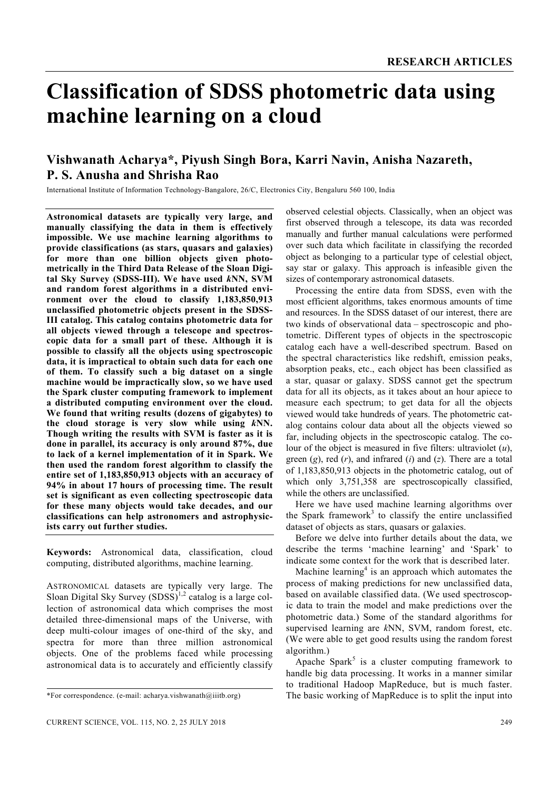# **Classification of SDSS photometric data using machine learning on a cloud**

# **Vishwanath Acharya\*, Piyush Singh Bora, Karri Navin, Anisha Nazareth, P. S. Anusha and Shrisha Rao**

International Institute of Information Technology-Bangalore, 26/C, Electronics City, Bengaluru 560 100, India

**Astronomical datasets are typically very large, and manually classifying the data in them is effectively impossible. We use machine learning algorithms to provide classifications (as stars, quasars and galaxies) for more than one billion objects given photometrically in the Third Data Release of the Sloan Digital Sky Survey (SDSS-III). We have used** *k***NN, SVM and random forest algorithms in a distributed environment over the cloud to classify 1,183,850,913 unclassified photometric objects present in the SDSS-III catalog. This catalog contains photometric data for all objects viewed through a telescope and spectroscopic data for a small part of these. Although it is possible to classify all the objects using spectroscopic data, it is impractical to obtain such data for each one of them. To classify such a big dataset on a single machine would be impractically slow, so we have used the Spark cluster computing framework to implement a distributed computing environment over the cloud. We found that writing results (dozens of gigabytes) to the cloud storage is very slow while using** *k***NN. Though writing the results with SVM is faster as it is done in parallel, its accuracy is only around 87%, due to lack of a kernel implementation of it in Spark. We then used the random forest algorithm to classify the entire set of 1,183,850,913 objects with an accuracy of 94% in about 17 hours of processing time. The result set is significant as even collecting spectroscopic data for these many objects would take decades, and our classifications can help astronomers and astrophysicists carry out further studies.** 

**Keywords:** Astronomical data, classification, cloud computing, distributed algorithms, machine learning.

ASTRONOMICAL datasets are typically very large. The Sloan Digital Sky Survey  $(SDSS)^{1,2}$  catalog is a large collection of astronomical data which comprises the most detailed three-dimensional maps of the Universe, with deep multi-colour images of one-third of the sky, and spectra for more than three million astronomical objects. One of the problems faced while processing astronomical data is to accurately and efficiently classify observed celestial objects. Classically, when an object was first observed through a telescope, its data was recorded manually and further manual calculations were performed over such data which facilitate in classifying the recorded object as belonging to a particular type of celestial object, say star or galaxy. This approach is infeasible given the sizes of contemporary astronomical datasets.

 Processing the entire data from SDSS, even with the most efficient algorithms, takes enormous amounts of time and resources. In the SDSS dataset of our interest, there are two kinds of observational data – spectroscopic and photometric. Different types of objects in the spectroscopic catalog each have a well-described spectrum. Based on the spectral characteristics like redshift, emission peaks, absorption peaks, etc., each object has been classified as a star, quasar or galaxy. SDSS cannot get the spectrum data for all its objects, as it takes about an hour apiece to measure each spectrum; to get data for all the objects viewed would take hundreds of years. The photometric catalog contains colour data about all the objects viewed so far, including objects in the spectroscopic catalog. The colour of the object is measured in five filters: ultraviolet (*u*), green (*g*), red (*r*), and infrared (*i*) and (*z*). There are a total of 1,183,850,913 objects in the photometric catalog, out of which only 3,751,358 are spectroscopically classified, while the others are unclassified.

 Here we have used machine learning algorithms over the Spark framework<sup>3</sup> to classify the entire unclassified dataset of objects as stars, quasars or galaxies.

 Before we delve into further details about the data, we describe the terms 'machine learning' and 'Spark' to indicate some context for the work that is described later.

Machine learning<sup>4</sup> is an approach which automates the process of making predictions for new unclassified data, based on available classified data. (We used spectroscopic data to train the model and make predictions over the photometric data.) Some of the standard algorithms for supervised learning are *k*NN, SVM, random forest, etc. (We were able to get good results using the random forest algorithm.)

Apache Spark<sup>5</sup> is a cluster computing framework to handle big data processing. It works in a manner similar to traditional Hadoop MapReduce, but is much faster. The basic working of MapReduce is to split the input into

<sup>\*</sup>For correspondence. (e-mail: acharya.vishwanath@iiitb.org)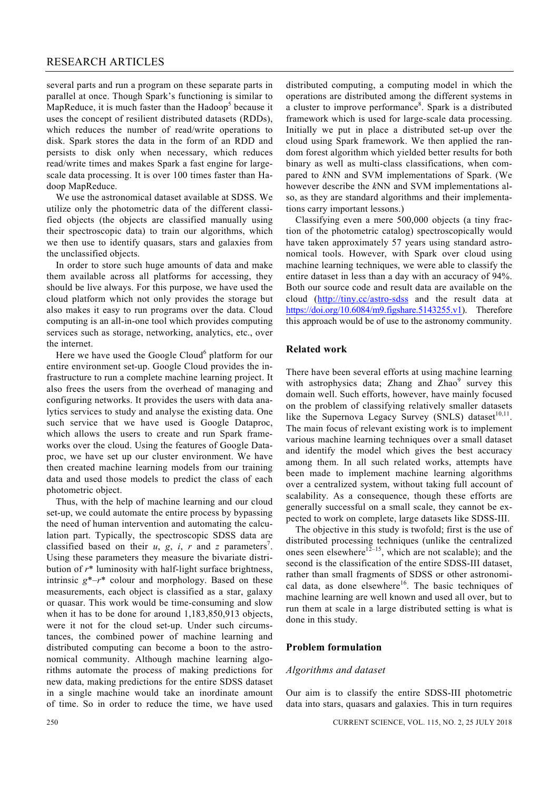several parts and run a program on these separate parts in parallel at once. Though Spark's functioning is similar to MapReduce, it is much faster than the Hadoop<sup>5</sup> because it uses the concept of resilient distributed datasets (RDDs), which reduces the number of read/write operations to disk. Spark stores the data in the form of an RDD and persists to disk only when necessary, which reduces read/write times and makes Spark a fast engine for largescale data processing. It is over 100 times faster than Hadoop MapReduce.

 We use the astronomical dataset available at SDSS. We utilize only the photometric data of the different classified objects (the objects are classified manually using their spectroscopic data) to train our algorithms, which we then use to identify quasars, stars and galaxies from the unclassified objects.

 In order to store such huge amounts of data and make them available across all platforms for accessing, they should be live always. For this purpose, we have used the cloud platform which not only provides the storage but also makes it easy to run programs over the data. Cloud computing is an all-in-one tool which provides computing services such as storage, networking, analytics, etc., over the internet.

Here we have used the Google Cloud<sup>6</sup> platform for our entire environment set-up. Google Cloud provides the infrastructure to run a complete machine learning project. It also frees the users from the overhead of managing and configuring networks. It provides the users with data analytics services to study and analyse the existing data. One such service that we have used is Google Dataproc, which allows the users to create and run Spark frameworks over the cloud. Using the features of Google Dataproc, we have set up our cluster environment. We have then created machine learning models from our training data and used those models to predict the class of each photometric object.

 Thus, with the help of machine learning and our cloud set-up, we could automate the entire process by bypassing the need of human intervention and automating the calculation part. Typically, the spectroscopic SDSS data are classified based on their  $u$ ,  $g$ ,  $i$ ,  $r$  and  $z$  parameters<sup>7</sup>. Using these parameters they measure the bivariate distribution of *r*\* luminosity with half-light surface brightness, intrinsic  $g^*$ – $r^*$  colour and morphology. Based on these measurements, each object is classified as a star, galaxy or quasar. This work would be time-consuming and slow when it has to be done for around 1,183,850,913 objects, were it not for the cloud set-up. Under such circumstances, the combined power of machine learning and distributed computing can become a boon to the astronomical community. Although machine learning algorithms automate the process of making predictions for new data, making predictions for the entire SDSS dataset in a single machine would take an inordinate amount of time. So in order to reduce the time, we have used

distributed computing, a computing model in which the operations are distributed among the different systems in a cluster to improve performance<sup>8</sup>. Spark is a distributed framework which is used for large-scale data processing. Initially we put in place a distributed set-up over the cloud using Spark framework. We then applied the random forest algorithm which yielded better results for both binary as well as multi-class classifications, when compared to *k*NN and SVM implementations of Spark. (We however describe the *k*NN and SVM implementations also, as they are standard algorithms and their implementations carry important lessons.)

 Classifying even a mere 500,000 objects (a tiny fraction of the photometric catalog) spectroscopically would have taken approximately 57 years using standard astronomical tools. However, with Spark over cloud using machine learning techniques, we were able to classify the entire dataset in less than a day with an accuracy of 94%. Both our source code and result data are available on the cloud (http://tiny.cc/astro-sdss and the result data at https://doi.org/10.6084/m9.figshare.5143255.v1). Therefore this approach would be of use to the astronomy community.

## **Related work**

There have been several efforts at using machine learning with astrophysics data; Zhang and Zhao<sup>9</sup> survey this domain well. Such efforts, however, have mainly focused on the problem of classifying relatively smaller datasets like the Supernova Legacy Survey (SNLS) dataset $10,11$ . The main focus of relevant existing work is to implement various machine learning techniques over a small dataset and identify the model which gives the best accuracy among them. In all such related works, attempts have been made to implement machine learning algorithms over a centralized system, without taking full account of scalability. As a consequence, though these efforts are generally successful on a small scale, they cannot be expected to work on complete, large datasets like SDSS-III.

 The objective in this study is twofold; first is the use of distributed processing techniques (unlike the centralized ones seen elsewhere<sup>12–15</sup>, which are not scalable); and the second is the classification of the entire SDSS-III dataset, rather than small fragments of SDSS or other astronomical data, as done elsewhere<sup>16</sup>. The basic techniques of machine learning are well known and used all over, but to run them at scale in a large distributed setting is what is done in this study.

#### **Problem formulation**

#### *Algorithms and dataset*

Our aim is to classify the entire SDSS-III photometric data into stars, quasars and galaxies. This in turn requires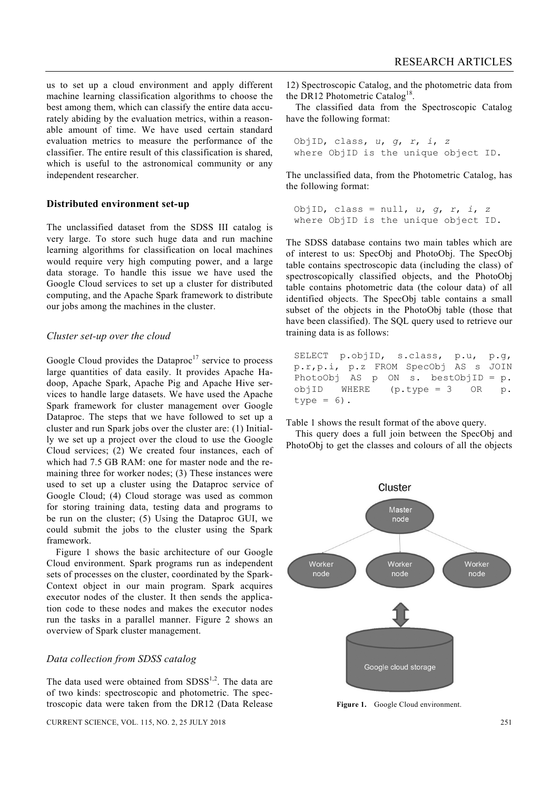us to set up a cloud environment and apply different machine learning classification algorithms to choose the best among them, which can classify the entire data accurately abiding by the evaluation metrics, within a reasonable amount of time. We have used certain standard evaluation metrics to measure the performance of the classifier. The entire result of this classification is shared, which is useful to the astronomical community or any independent researcher.

## **Distributed environment set-up**

The unclassified dataset from the SDSS III catalog is very large. To store such huge data and run machine learning algorithms for classification on local machines would require very high computing power, and a large data storage. To handle this issue we have used the Google Cloud services to set up a cluster for distributed computing, and the Apache Spark framework to distribute our jobs among the machines in the cluster.

#### *Cluster set-up over the cloud*

Google Cloud provides the Dataproc<sup>17</sup> service to process large quantities of data easily. It provides Apache Hadoop, Apache Spark, Apache Pig and Apache Hive services to handle large datasets. We have used the Apache Spark framework for cluster management over Google Dataproc. The steps that we have followed to set up a cluster and run Spark jobs over the cluster are: (1) Initially we set up a project over the cloud to use the Google Cloud services; (2) We created four instances, each of which had 7.5 GB RAM: one for master node and the remaining three for worker nodes; (3) These instances were used to set up a cluster using the Dataproc service of Google Cloud; (4) Cloud storage was used as common for storing training data, testing data and programs to be run on the cluster; (5) Using the Dataproc GUI, we could submit the jobs to the cluster using the Spark framework.

 Figure 1 shows the basic architecture of our Google Cloud environment. Spark programs run as independent sets of processes on the cluster, coordinated by the Spark-Context object in our main program. Spark acquires executor nodes of the cluster. It then sends the application code to these nodes and makes the executor nodes run the tasks in a parallel manner. Figure 2 shows an overview of Spark cluster management.

# *Data collection from SDSS catalog*

The data used were obtained from  $SDSS<sup>1,2</sup>$ . The data are of two kinds: spectroscopic and photometric. The spectroscopic data were taken from the DR12 (Data Release

CURRENT SCIENCE, VOL. 115, NO. 2, 25 JULY 2018 251

12) Spectroscopic Catalog, and the photometric data from the DR12 Photometric Catalog<sup>18</sup>.

 The classified data from the Spectroscopic Catalog have the following format:

```
ObjID, class, u, g, r, i, z
where ObjID is the unique object ID.
```
The unclassified data, from the Photometric Catalog, has the following format:

```
ObjID, class = null, u, g, r, i, z
where ObjID is the unique object ID.
```
The SDSS database contains two main tables which are of interest to us: SpecObj and PhotoObj. The SpecObj table contains spectroscopic data (including the class) of spectroscopically classified objects, and the PhotoObj table contains photometric data (the colour data) of all identified objects. The SpecObj table contains a small subset of the objects in the PhotoObj table (those that have been classified). The SQL query used to retrieve our training data is as follows:

```
SELECT p.objID, s.class, p.u, p.g, 
p.r,p.i, p.z FROM SpecObj AS s JOIN 
PhotoObj AS p ON s. bestObjID = p. 
objID WHERE (p.type = 3 OR p. 
type = 6).
```
Table 1 shows the result format of the above query.

 This query does a full join between the SpecObj and PhotoObj to get the classes and colours of all the objects



Figure 1. Google Cloud environment.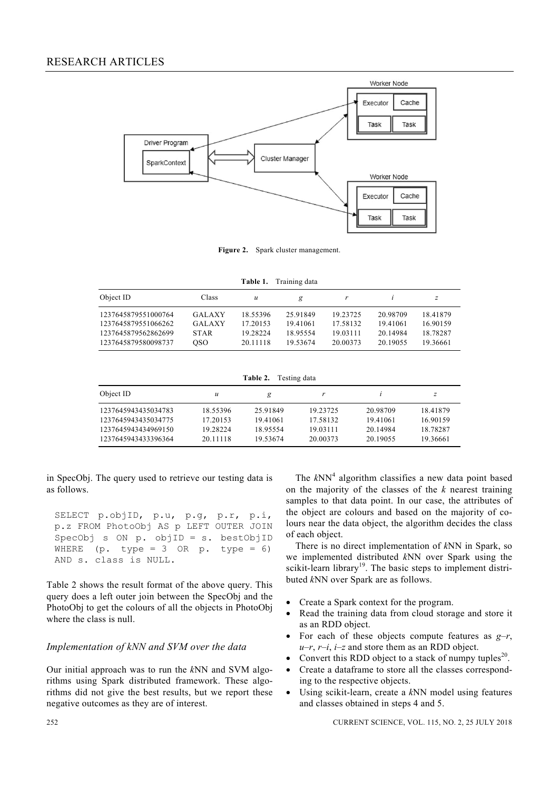# RESEARCH ARTICLES



**Figure 2.** Spark cluster management.

| Table 1. | Training data |  |
|----------|---------------|--|
|          |               |  |

| Object ID                                                         | Class                                  | u                                |                                  |                                  |                                  | z                                |
|-------------------------------------------------------------------|----------------------------------------|----------------------------------|----------------------------------|----------------------------------|----------------------------------|----------------------------------|
| 1237645879551000764<br>1237645879551066262<br>1237645879562862699 | <b>GALAXY</b><br>GALAXY<br><b>STAR</b> | 18.55396<br>17.20153<br>19.28224 | 25.91849<br>19.41061<br>18.95554 | 19.23725<br>17.58132<br>19.03111 | 20.98709<br>19.41061<br>20.14984 | 18.41879<br>16.90159<br>18.78287 |
| 1237645879580098737                                               | OSO.                                   | 20.11118                         | 19.53674                         | 20.00373                         | 20.19055                         | 19 36661                         |

**Table 2.** Testing data

| Object ID           | и        | g        |          |          | z        |
|---------------------|----------|----------|----------|----------|----------|
| 1237645943435034783 | 18.55396 | 25.91849 | 19.23725 | 20.98709 | 18.41879 |
| 1237645943435034775 | 17.20153 | 19.41061 | 17.58132 | 19.41061 | 16.90159 |
| 1237645943434969150 | 19.28224 | 18.95554 | 19.03111 | 20.14984 | 18.78287 |
| 1237645943433396364 | 20.11118 | 19.53674 | 20.00373 | 20.19055 | 19.36661 |

in SpecObj. The query used to retrieve our testing data is as follows.

SELECT p.objID, p.u, p.g, p.r, p.i, p.z FROM PhotoObj AS p LEFT OUTER JOIN SpecObj s ON p. objID = s. bestObjID WHERE (p. type = 3 OR p. type = 6) AND s. class is NULL.

Table 2 shows the result format of the above query. This query does a left outer join between the SpecObj and the PhotoObj to get the colours of all the objects in PhotoObj where the class is null.

### *Implementation of kNN and SVM over the data*

Our initial approach was to run the *k*NN and SVM algorithms using Spark distributed framework. These algorithms did not give the best results, but we report these negative outcomes as they are of interest.

The  $kNN<sup>4</sup>$  algorithm classifies a new data point based on the majority of the classes of the *k* nearest training samples to that data point. In our case, the attributes of the object are colours and based on the majority of colours near the data object, the algorithm decides the class of each object.

 There is no direct implementation of *k*NN in Spark, so we implemented distributed *k*NN over Spark using the scikit-learn library<sup>19</sup>. The basic steps to implement distributed *k*NN over Spark are as follows.

- Create a Spark context for the program.
- Read the training data from cloud storage and store it as an RDD object.
- For each of these objects compute features as *g*–*r*,  $u-r$ ,  $r-i$ ,  $i-z$  and store them as an RDD object.
- Convert this RDD object to a stack of numpy tuples<sup>20</sup>.
- Create a dataframe to store all the classes corresponding to the respective objects.
- Using scikit-learn, create a *k*NN model using features and classes obtained in steps 4 and 5.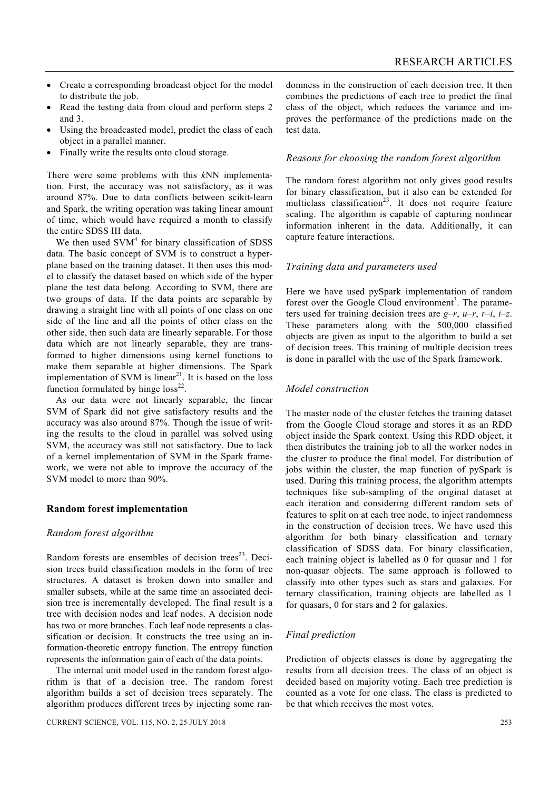- Create a corresponding broadcast object for the model to distribute the job.
- Read the testing data from cloud and perform steps 2 and 3.
- Using the broadcasted model, predict the class of each object in a parallel manner.
- Finally write the results onto cloud storage.

There were some problems with this *k*NN implementation. First, the accuracy was not satisfactory, as it was around 87%. Due to data conflicts between scikit-learn and Spark, the writing operation was taking linear amount of time, which would have required a month to classify the entire SDSS III data.

We then used  $\text{SVM}^4$  for binary classification of SDSS data. The basic concept of SVM is to construct a hyperplane based on the training dataset. It then uses this model to classify the dataset based on which side of the hyper plane the test data belong. According to SVM, there are two groups of data. If the data points are separable by drawing a straight line with all points of one class on one side of the line and all the points of other class on the other side, then such data are linearly separable. For those data which are not linearly separable, they are transformed to higher dimensions using kernel functions to make them separable at higher dimensions. The Spark implementation of SVM is linear<sup>21</sup>. It is based on the loss function formulated by hinge  $loss^{22}$ .

 As our data were not linearly separable, the linear SVM of Spark did not give satisfactory results and the accuracy was also around 87%. Though the issue of writing the results to the cloud in parallel was solved using SVM, the accuracy was still not satisfactory. Due to lack of a kernel implementation of SVM in the Spark framework, we were not able to improve the accuracy of the SVM model to more than 90%.

#### **Random forest implementation**

#### *Random forest algorithm*

Random forests are ensembles of decision trees $^{23}$ . Decision trees build classification models in the form of tree structures. A dataset is broken down into smaller and smaller subsets, while at the same time an associated decision tree is incrementally developed. The final result is a tree with decision nodes and leaf nodes. A decision node has two or more branches. Each leaf node represents a classification or decision. It constructs the tree using an information-theoretic entropy function. The entropy function represents the information gain of each of the data points.

 The internal unit model used in the random forest algorithm is that of a decision tree. The random forest algorithm builds a set of decision trees separately. The algorithm produces different trees by injecting some randomness in the construction of each decision tree. It then combines the predictions of each tree to predict the final class of the object, which reduces the variance and improves the performance of the predictions made on the test data.

### *Reasons for choosing the random forest algorithm*

The random forest algorithm not only gives good results for binary classification, but it also can be extended for multiclass classification<sup>23</sup>. It does not require feature scaling. The algorithm is capable of capturing nonlinear information inherent in the data. Additionally, it can capture feature interactions.

#### *Training data and parameters used*

Here we have used pySpark implementation of random forest over the Google Cloud environment<sup>3</sup>. The parameters used for training decision trees are *g*–*r*, *u*–*r*, *r*–*i*, *i*–*z*. These parameters along with the 500,000 classified objects are given as input to the algorithm to build a set of decision trees. This training of multiple decision trees is done in parallel with the use of the Spark framework.

#### *Model construction*

The master node of the cluster fetches the training dataset from the Google Cloud storage and stores it as an RDD object inside the Spark context. Using this RDD object, it then distributes the training job to all the worker nodes in the cluster to produce the final model. For distribution of jobs within the cluster, the map function of pySpark is used. During this training process, the algorithm attempts techniques like sub-sampling of the original dataset at each iteration and considering different random sets of features to split on at each tree node, to inject randomness in the construction of decision trees. We have used this algorithm for both binary classification and ternary classification of SDSS data. For binary classification, each training object is labelled as 0 for quasar and 1 for non-quasar objects. The same approach is followed to classify into other types such as stars and galaxies. For ternary classification, training objects are labelled as 1 for quasars, 0 for stars and 2 for galaxies.

# *Final prediction*

Prediction of objects classes is done by aggregating the results from all decision trees. The class of an object is decided based on majority voting. Each tree prediction is counted as a vote for one class. The class is predicted to be that which receives the most votes.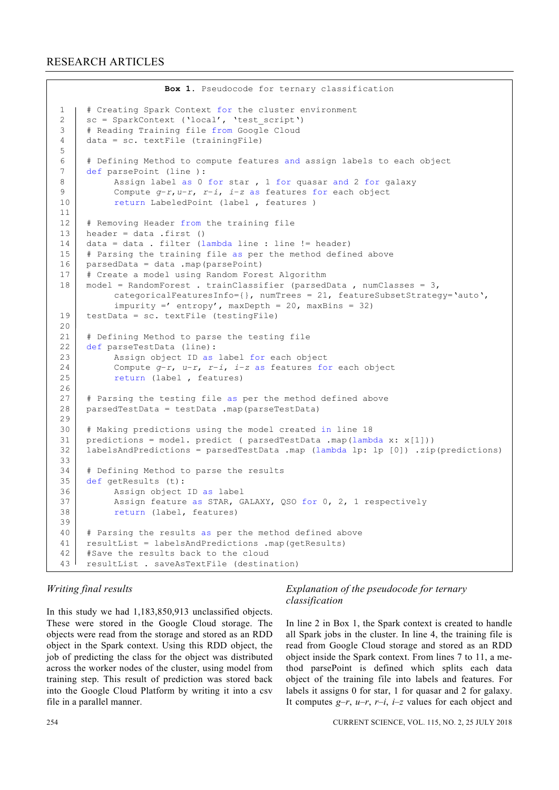```
Box 1. Pseudocode for ternary classification 
1 | # Creating Spark Context for the cluster environment
2 \vert sc = SparkContext ('local', 'test script')
3 | # Reading Training file from Google Cloud
4 data = sc. textFile (trainingFile) 
5 
6 # Defining Method to compute features and assign labels to each object 
7 def parsePoint (line ): 
8 Assign label as 0 for star , 1 for quasar and 2 for galaxy
9 Compute g–r,u–r, r–i, i–z as features for each object 
10 return LabeledPoint (label, features)
11 
12 # Removing Header from the training file
13 | header = data .first ()
14 data = data . filter (lambda line : line != header)
15 # Parsing the training file as per the method defined above
16 | parsedData = data .map(parsePoint)
17 | # Create a model using Random Forest Algorithm
18 | model = RandomForest . trainClassifier (parsedData , numClasses = 3,
           categoricalFeaturesInfo={}, numTrees = 21, featureSubsetStrategy='auto', 
          imputiy =' entropy', maxDepth = 20, maxBins = 32)19 testData = sc. textFile (testingFile)
20 
21 | # Defining Method to parse the testing file
22 def parseTestData (line): 
23 | Assign object ID as label for each object
24 Compute g–r, u–r, r–i, i–z as features for each object 
25 return (label, features)
26 
27 # Parsing the testing file as per the method defined above
28 parsedTestData = testData .map(parseTestData)
29 
30 # Making predictions using the model created in line 18 
31 predictions = model. predict ( parsedTestData .map(lambda x: x[1]))
32 labelsAndPredictions = parsedTestData .map (lambda lp: lp [0]) .zip(predictions) 
33 
34 | # Defining Method to parse the results
35 def getResults (t): 
36 Assign object ID as label<br>37 Assign feature as STAR. G
          Assign feature as STAR, GALAXY, QSO for 0, 2, 1 respectively
38 return (label, features) 
39 
40 # Parsing the results as per the method defined above
41 resultList = labelsAndPredictions .map(getResults) 
42 #Save the results back to the cloud 
43 resultList . saveAsTextFile (destination)
```
# *Writing final results*

In this study we had 1,183,850,913 unclassified objects. These were stored in the Google Cloud storage. The objects were read from the storage and stored as an RDD object in the Spark context. Using this RDD object, the job of predicting the class for the object was distributed across the worker nodes of the cluster, using model from training step. This result of prediction was stored back into the Google Cloud Platform by writing it into a csv file in a parallel manner.

# *Explanation of the pseudocode for ternary classification*

In line 2 in Box 1, the Spark context is created to handle all Spark jobs in the cluster. In line 4, the training file is read from Google Cloud storage and stored as an RDD object inside the Spark context. From lines 7 to 11, a method parsePoint is defined which splits each data object of the training file into labels and features. For labels it assigns 0 for star, 1 for quasar and 2 for galaxy. It computes  $g-r$ ,  $u-r$ ,  $r-i$ ,  $i-z$  values for each object and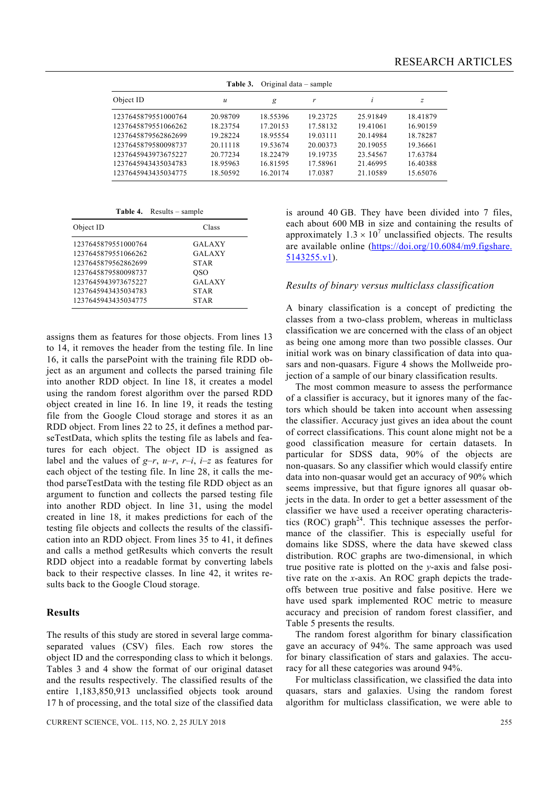| Original data – sample<br>Table 3. |          |          |          |          |          |
|------------------------------------|----------|----------|----------|----------|----------|
| Object ID                          | u        | g        | r        | İ.       | z        |
| 1237645879551000764                | 20.98709 | 18.55396 | 19.23725 | 25.91849 | 18.41879 |
| 1237645879551066262                | 18.23754 | 17.20153 | 17.58132 | 19.41061 | 16.90159 |
| 1237645879562862699                | 19.28224 | 18.95554 | 19.03111 | 20.14984 | 18.78287 |
| 1237645879580098737                | 20.11118 | 19.53674 | 20.00373 | 20.19055 | 19.36661 |
| 1237645943973675227                | 20.77234 | 18.22479 | 19.19735 | 23.54567 | 17.63784 |
| 1237645943435034783                | 18.95963 | 16.81595 | 17.58961 | 21.46995 | 16.40388 |
| 1237645943435034775                | 18.50592 | 16.20174 | 17.0387  | 21.10589 | 15.65076 |

**Table 4.** Results – sample

| Object ID           | Class         |
|---------------------|---------------|
| 1237645879551000764 | <b>GALAXY</b> |
| 1237645879551066262 | <b>GALAXY</b> |
| 1237645879562862699 | <b>STAR</b>   |
| 1237645879580098737 | <b>OSO</b>    |
| 1237645943973675227 | <b>GALAXY</b> |
| 1237645943435034783 | <b>STAR</b>   |
| 1237645943435034775 | STAR          |

assigns them as features for those objects. From lines 13 to 14, it removes the header from the testing file. In line 16, it calls the parsePoint with the training file RDD object as an argument and collects the parsed training file into another RDD object. In line 18, it creates a model using the random forest algorithm over the parsed RDD object created in line 16. In line 19, it reads the testing file from the Google Cloud storage and stores it as an RDD object. From lines 22 to 25, it defines a method parseTestData, which splits the testing file as labels and features for each object. The object ID is assigned as label and the values of  $g-r$ ,  $u-r$ ,  $r-i$ ,  $i-z$  as features for each object of the testing file. In line 28, it calls the method parseTestData with the testing file RDD object as an argument to function and collects the parsed testing file into another RDD object. In line 31, using the model created in line 18, it makes predictions for each of the testing file objects and collects the results of the classification into an RDD object. From lines 35 to 41, it defines and calls a method getResults which converts the result RDD object into a readable format by converting labels back to their respective classes. In line 42, it writes results back to the Google Cloud storage.

#### **Results**

The results of this study are stored in several large commaseparated values (CSV) files. Each row stores the object ID and the corresponding class to which it belongs. Tables 3 and 4 show the format of our original dataset and the results respectively. The classified results of the entire 1,183,850,913 unclassified objects took around 17 h of processing, and the total size of the classified data is around 40 GB. They have been divided into 7 files, each about 600 MB in size and containing the results of approximately  $1.3 \times 10^7$  unclassified objects. The results are available online (https://doi.org/10.6084/m9.figshare. 5143255.v1).

## *Results of binary versus multiclass classification*

A binary classification is a concept of predicting the classes from a two-class problem, whereas in multiclass classification we are concerned with the class of an object as being one among more than two possible classes. Our initial work was on binary classification of data into quasars and non-quasars. Figure 4 shows the Mollweide projection of a sample of our binary classification results.

 The most common measure to assess the performance of a classifier is accuracy, but it ignores many of the factors which should be taken into account when assessing the classifier. Accuracy just gives an idea about the count of correct classifications. This count alone might not be a good classification measure for certain datasets. In particular for SDSS data, 90% of the objects are non-quasars. So any classifier which would classify entire data into non-quasar would get an accuracy of 90% which seems impressive, but that figure ignores all quasar objects in the data. In order to get a better assessment of the classifier we have used a receiver operating characteristics (ROC) graph<sup>24</sup>. This technique assesses the performance of the classifier. This is especially useful for domains like SDSS, where the data have skewed class distribution. ROC graphs are two-dimensional, in which true positive rate is plotted on the *y*-axis and false positive rate on the *x*-axis. An ROC graph depicts the tradeoffs between true positive and false positive. Here we have used spark implemented ROC metric to measure accuracy and precision of random forest classifier, and Table 5 presents the results.

 The random forest algorithm for binary classification gave an accuracy of 94%. The same approach was used for binary classification of stars and galaxies. The accuracy for all these categories was around 94%.

 For multiclass classification, we classified the data into quasars, stars and galaxies. Using the random forest algorithm for multiclass classification, we were able to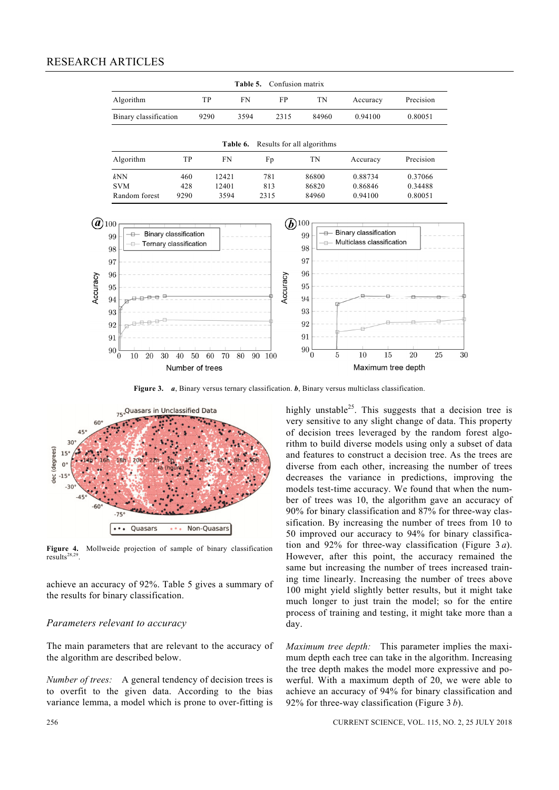# RESEARCH ARTICLES



**Figure 3.** *a*, Binary versus ternary classification. *b*, Binary versus multiclass classification.



**Figure 4.** Mollweide projection of sample of binary classification Figure 4.<br>results<sup>28,29</sup>.

achieve an accuracy of 92%. Table 5 gives a summary of the results for binary classification.

#### *Parameters relevant to accuracy*

The main parameters that are relevant to the accuracy of the algorithm are described below.

*Number of trees:* A general tendency of decision trees is to overfit to the given data. According to the bias variance lemma, a model which is prone to over-fitting is highly unstable<sup>25</sup>. This suggests that a decision tree is very sensitive to any slight change of data. This property of decision trees leveraged by the random forest algorithm to build diverse models using only a subset of data and features to construct a decision tree. As the trees are diverse from each other, increasing the number of trees decreases the variance in predictions, improving the models test-time accuracy. We found that when the number of trees was 10, the algorithm gave an accuracy of 90% for binary classification and 87% for three-way classification. By increasing the number of trees from 10 to 50 improved our accuracy to 94% for binary classification and 92% for three-way classification (Figure 3 *a*). However, after this point, the accuracy remained the same but increasing the number of trees increased training time linearly. Increasing the number of trees above 100 might yield slightly better results, but it might take much longer to just train the model; so for the entire process of training and testing, it might take more than a day.

*Maximum tree depth:* This parameter implies the maximum depth each tree can take in the algorithm. Increasing the tree depth makes the model more expressive and powerful. With a maximum depth of 20, we were able to achieve an accuracy of 94% for binary classification and 92% for three-way classification (Figure 3 *b*).